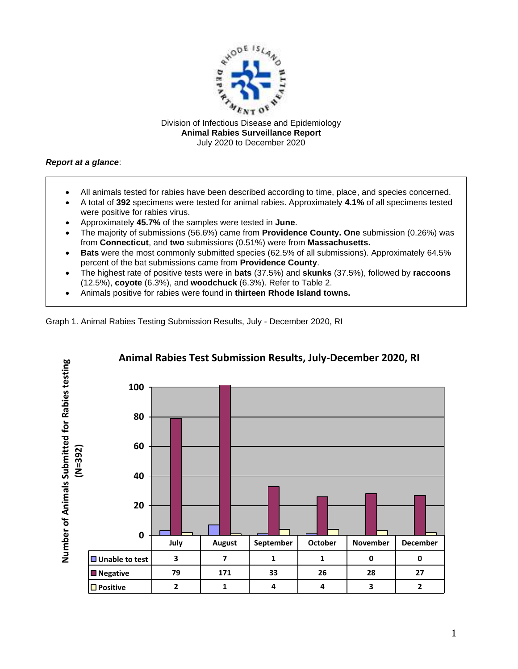

Division of Infectious Disease and Epidemiology **Animal Rabies Surveillance Report** July 2020 to December 2020

## *Report at a glance*:

- All animals tested for rabies have been described according to time, place, and species concerned.
- A total of **392** specimens were tested for animal rabies. Approximately **4.1%** of all specimens tested were positive for rabies virus.
- Approximately **45.7%** of the samples were tested in **June**.
- The majority of submissions (56.6%) came from **Providence County. One** submission (0.26%) was from **Connecticut**, and **two** submissions (0.51%) were from **Massachusetts.**
- **Bats** were the most commonly submitted species (62.5% of all submissions). Approximately 64.5% percent of the bat submissions came from **Providence County**.
- The highest rate of positive tests were in **bats** (37.5%) and **skunks** (37.5%), followed by **raccoons** (12.5%), **coyote** (6.3%), and **woodchuck** (6.3%). Refer to Table 2.
- Animals positive for rabies were found in **thirteen Rhode Island towns.**

Graph 1. Animal Rabies Testing Submission Results, July - December 2020, RI



1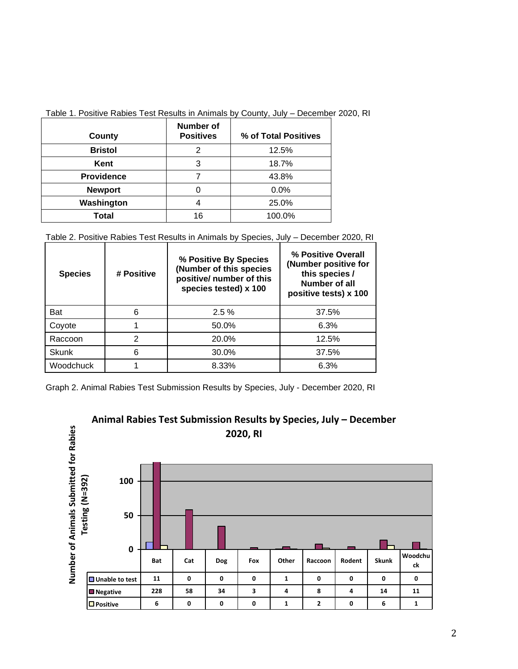| County            | <b>Number of</b><br><b>Positives</b> | % of Total Positives |  |
|-------------------|--------------------------------------|----------------------|--|
| <b>Bristol</b>    | 2                                    | 12.5%                |  |
| Kent              | 3                                    | 18.7%                |  |
| <b>Providence</b> |                                      | 43.8%                |  |
| <b>Newport</b>    | 0                                    | 0.0%                 |  |
| Washington        |                                      | 25.0%                |  |
| <b>Total</b>      | 16                                   | 100.0%               |  |

## Table 1. Positive Rabies Test Results in Animals by County, July – December 2020, RI

Table 2. Positive Rabies Test Results in Animals by Species, July – December 2020, RI

| <b>Species</b> | # Positive | % Positive By Species<br>(Number of this species<br>positive/ number of this<br>species tested) x 100 | % Positive Overall<br>(Number positive for<br>this species /<br>Number of all<br>positive tests) x 100 |  |
|----------------|------------|-------------------------------------------------------------------------------------------------------|--------------------------------------------------------------------------------------------------------|--|
| <b>Bat</b>     | 6          | $2.5\%$                                                                                               | 37.5%                                                                                                  |  |
| Coyote         |            | 50.0%                                                                                                 | 6.3%                                                                                                   |  |
| Raccoon        | 2          | 20.0%                                                                                                 | 12.5%                                                                                                  |  |
| <b>Skunk</b>   | 6          | 30.0%                                                                                                 | 37.5%                                                                                                  |  |
| Woodchuck      |            | 8.33%                                                                                                 | 6.3%                                                                                                   |  |

Graph 2. Animal Rabies Test Submission Results by Species, July - December 2020, RI



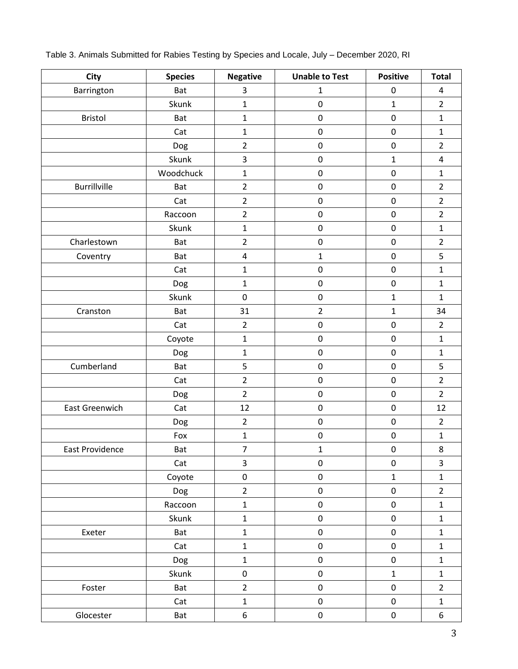| <b>City</b>           | <b>Species</b> | <b>Negative</b> | <b>Unable to Test</b> | <b>Positive</b> | <b>Total</b>            |
|-----------------------|----------------|-----------------|-----------------------|-----------------|-------------------------|
| Barrington            | Bat            | 3               | $\mathbf{1}$          | $\pmb{0}$       | 4                       |
|                       | Skunk          | $\mathbf 1$     | 0                     | $\mathbf{1}$    | $\overline{2}$          |
| Bristol               | Bat            | $\mathbf{1}$    | $\pmb{0}$             | $\pmb{0}$       | $\mathbf{1}$            |
|                       | Cat            | $\mathbf{1}$    | $\pmb{0}$             | $\mathbf 0$     | $\mathbf{1}$            |
|                       | Dog            | $\overline{2}$  | $\pmb{0}$             | $\pmb{0}$       | $\overline{2}$          |
|                       | Skunk          | 3               | $\pmb{0}$             | $\mathbf{1}$    | $\pmb{4}$               |
|                       | Woodchuck      | $\mathbf 1$     | $\pmb{0}$             | $\mathbf 0$     | $\mathbf{1}$            |
| <b>Burrillville</b>   | Bat            | $\overline{2}$  | $\pmb{0}$             | $\mathbf 0$     | $\overline{2}$          |
|                       | Cat            | $\overline{2}$  | $\pmb{0}$             | $\pmb{0}$       | $\overline{2}$          |
|                       | Raccoon        | $\overline{2}$  | $\pmb{0}$             | $\pmb{0}$       | $\overline{2}$          |
|                       | Skunk          | $\mathbf{1}$    | $\pmb{0}$             | $\pmb{0}$       | $\mathbf 1$             |
| Charlestown           | Bat            | $\overline{2}$  | $\pmb{0}$             | $\pmb{0}$       | $\overline{2}$          |
| Coventry              | Bat            | $\pmb{4}$       | $\mathbf 1$           | $\mathbf 0$     | 5                       |
|                       | Cat            | $\mathbf 1$     | $\pmb{0}$             | $\pmb{0}$       | $\mathbf{1}$            |
|                       | Dog            | $\mathbf{1}$    | $\pmb{0}$             | $\mathbf 0$     | $\mathbf{1}$            |
|                       | Skunk          | $\mathbf 0$     | $\pmb{0}$             | $\mathbf{1}$    | $\mathbf{1}$            |
| Cranston              | Bat            | 31              | $\overline{2}$        | $\mathbf{1}$    | 34                      |
|                       | Cat            | $\overline{2}$  | $\pmb{0}$             | $\pmb{0}$       | $\overline{2}$          |
|                       | Coyote         | $\mathbf 1$     | $\pmb{0}$             | $\pmb{0}$       | $\mathbf{1}$            |
|                       | Dog            | $\mathbf 1$     | $\pmb{0}$             | $\pmb{0}$       | $\mathbf 1$             |
| Cumberland            | Bat            | 5               | $\pmb{0}$             | $\mathbf 0$     | 5                       |
|                       | Cat            | $\overline{2}$  | $\pmb{0}$             | $\pmb{0}$       | $\overline{2}$          |
|                       | Dog            | $\overline{2}$  | $\pmb{0}$             | $\pmb{0}$       | $\overline{2}$          |
| <b>East Greenwich</b> | Cat            | 12              | $\pmb{0}$             | $\mathbf 0$     | 12                      |
|                       | Dog            | $\overline{2}$  | $\pmb{0}$             | $\pmb{0}$       | $\overline{2}$          |
|                       | Fox            | $\mathbf 1$     | $\pmb{0}$             | $\pmb{0}$       | $\mathbf 1$             |
| East Providence       | Bat            | 7               | $\mathbf{1}$          | 0               | 8                       |
|                       | Cat            | 3               | $\pmb{0}$             | $\pmb{0}$       | $\overline{\mathbf{3}}$ |
|                       | Coyote         | $\pmb{0}$       | $\pmb{0}$             | $\mathbf{1}$    | $\mathbf{1}$            |
|                       | Dog            | $\overline{2}$  | $\pmb{0}$             | $\mathbf 0$     | $\overline{2}$          |
|                       | Raccoon        | $\mathbf 1$     | $\pmb{0}$             | $\pmb{0}$       | $\mathbf 1$             |
|                       | Skunk          | $\mathbf{1}$    | 0                     | $\pmb{0}$       | $\mathbf{1}$            |
| Exeter                | Bat            | $\mathbf 1$     | $\pmb{0}$             | $\pmb{0}$       | $\mathbf{1}$            |
|                       | Cat            | $\mathbf{1}$    | 0                     | $\pmb{0}$       | $\mathbf 1$             |
|                       | Dog            | $\mathbf{1}$    | $\pmb{0}$             | $\pmb{0}$       | $\mathbf{1}$            |
|                       | Skunk          | $\mathsf 0$     | $\pmb{0}$             | $\mathbf 1$     | $\mathbf{1}$            |
| Foster                | Bat            | $\overline{2}$  | $\pmb{0}$             | $\pmb{0}$       | $\overline{2}$          |
|                       | Cat            | $\mathbf{1}$    | 0                     | $\pmb{0}$       | $\mathbf 1$             |
| Glocester             | Bat            | 6               | $\pmb{0}$             | $\pmb{0}$       | 6                       |

Table 3. Animals Submitted for Rabies Testing by Species and Locale, July – December 2020, RI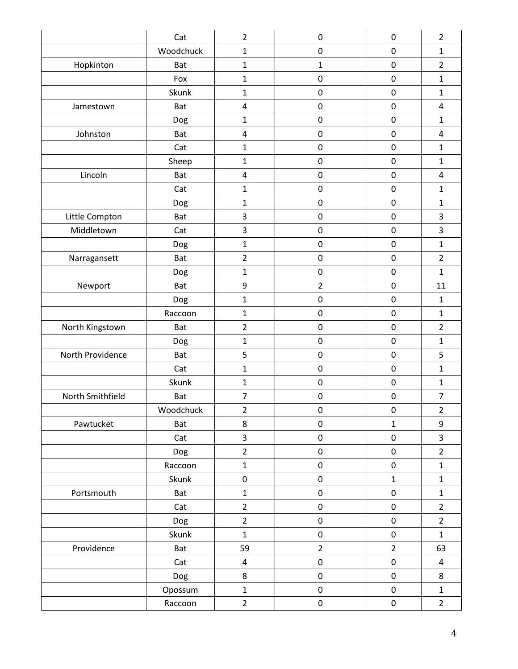|                  | Cat        | $\overline{2}$ | $\pmb{0}$      | $\pmb{0}$      | $\overline{2}$          |
|------------------|------------|----------------|----------------|----------------|-------------------------|
|                  | Woodchuck  | 1              | $\mathbf 0$    | $\mathbf 0$    | $\mathbf{1}$            |
| Hopkinton        | <b>Bat</b> | $\mathbf{1}$   | $\mathbf{1}$   | $\pmb{0}$      | $\overline{2}$          |
|                  | Fox        | $\mathbf 1$    | $\mathbf 0$    | $\mathbf 0$    | $\mathbf{1}$            |
|                  | Skunk      | $\mathbf{1}$   | $\pmb{0}$      | $\mathbf 0$    | $\mathbf{1}$            |
| Jamestown        | Bat        | $\pmb{4}$      | $\pmb{0}$      | $\pmb{0}$      | $\overline{\mathbf{4}}$ |
|                  | Dog        | $\mathbf{1}$   | $\pmb{0}$      | $\pmb{0}$      | $\mathbf{1}$            |
| Johnston         | Bat        | $\overline{4}$ | $\mathbf 0$    | $\mathbf 0$    | 4                       |
|                  | Cat        | $\mathbf{1}$   | $\pmb{0}$      | $\pmb{0}$      | $\mathbf{1}$            |
|                  | Sheep      | $\mathbf{1}$   | $\pmb{0}$      | $\pmb{0}$      | $\mathbf{1}$            |
| Lincoln          | Bat        | $\pmb{4}$      | $\pmb{0}$      | $\mathbf 0$    | 4                       |
|                  | Cat        | $\mathbf 1$    | $\pmb{0}$      | $\pmb{0}$      | $\mathbf{1}$            |
|                  | Dog        | $\mathbf{1}$   | $\mathbf 0$    | $\mathbf 0$    | $\mathbf{1}$            |
| Little Compton   | Bat        | 3              | $\pmb{0}$      | $\pmb{0}$      | 3                       |
| Middletown       | Cat        | $\mathsf 3$    | $\mathbf 0$    | $\mathbf 0$    | 3                       |
|                  | Dog        | $\mathbf{1}$   | $\pmb{0}$      | $\pmb{0}$      | $\mathbf{1}$            |
| Narragansett     | Bat        | $\overline{2}$ | $\pmb{0}$      | $\pmb{0}$      | $\overline{2}$          |
|                  | Dog        | $\mathbf 1$    | $\pmb{0}$      | $\pmb{0}$      | $\mathbf{1}$            |
| Newport          | Bat        | 9              | $\overline{2}$ | $\pmb{0}$      | 11                      |
|                  | Dog        | $\mathbf 1$    | $\pmb{0}$      | $\pmb{0}$      | $\mathbf{1}$            |
|                  | Raccoon    | $\mathbf{1}$   | $\pmb{0}$      | $\pmb{0}$      | $\mathbf{1}$            |
| North Kingstown  | <b>Bat</b> | $\overline{2}$ | $\pmb{0}$      | $\pmb{0}$      | $\overline{2}$          |
|                  | Dog        | $\mathbf 1$    | $\pmb{0}$      | $\pmb{0}$      | $\mathbf{1}$            |
| North Providence | Bat        | 5              | $\mathbf 0$    | $\mathbf 0$    | 5                       |
|                  | Cat        | $\mathbf{1}$   | $\pmb{0}$      | $\pmb{0}$      | $\mathbf{1}$            |
|                  | Skunk      | $\mathbf 1$    | $\pmb{0}$      | $\pmb{0}$      | $\mathbf{1}$            |
| North Smithfield | Bat        | $\overline{7}$ | $\pmb{0}$      | $\pmb{0}$      | $\overline{7}$          |
|                  | Woodchuck  | $\overline{2}$ | $\pmb{0}$      | $\pmb{0}$      | $\overline{2}$          |
| Pawtucket        | Bat        | 8              | $\pmb{0}$      | $\mathbf{1}$   | 9                       |
|                  | Cat        | $\mathbf{3}$   | $\pmb{0}$      | $\pmb{0}$      | $\overline{\mathbf{3}}$ |
|                  | Dog        | $\overline{2}$ | $\pmb{0}$      | $\mathsf 0$    | $\overline{2}$          |
|                  | Raccoon    | $\mathbf 1$    | $\pmb{0}$      | $\pmb{0}$      | $\mathbf 1$             |
|                  | Skunk      | $\pmb{0}$      | $\pmb{0}$      | $\mathbf{1}$   | $\mathbf{1}$            |
| Portsmouth       | Bat        | $\mathbf 1$    | $\pmb{0}$      | $\pmb{0}$      | $\mathbf{1}$            |
|                  | Cat        | $\overline{2}$ | $\pmb{0}$      | $\pmb{0}$      | $\overline{2}$          |
|                  | Dog        | $\overline{2}$ | $\pmb{0}$      | $\pmb{0}$      | $\overline{2}$          |
|                  | Skunk      | $\mathbf{1}$   | $\pmb{0}$      | $\pmb{0}$      | $\mathbf{1}$            |
| Providence       | Bat        | 59             | $\overline{2}$ | $\overline{2}$ | 63                      |
|                  | Cat        | $\overline{4}$ | $\pmb{0}$      | $\pmb{0}$      | 4                       |
|                  | Dog        | 8              | $\pmb{0}$      | $\pmb{0}$      | 8                       |
|                  | Opossum    | $\mathbf 1$    | $\pmb{0}$      | $\pmb{0}$      | $\mathbf{1}$            |
|                  | Raccoon    | $\overline{2}$ | $\pmb{0}$      | $\pmb{0}$      | $\overline{2}$          |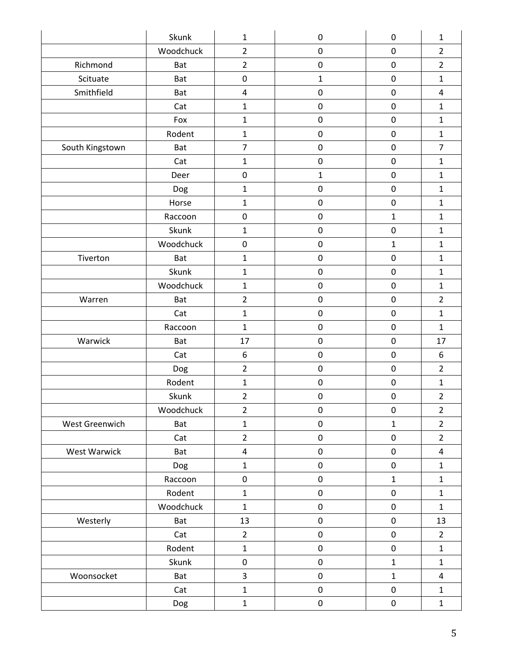|                 | Skunk      | $\mathbf 1$             | $\pmb{0}$    | $\pmb{0}$    | $\mathbf{1}$            |
|-----------------|------------|-------------------------|--------------|--------------|-------------------------|
|                 | Woodchuck  | $\overline{2}$          | $\mathbf 0$  | $\mathbf 0$  | $\overline{2}$          |
| Richmond        | Bat        | $\overline{2}$          | $\pmb{0}$    | $\pmb{0}$    | $\overline{2}$          |
| Scituate        | Bat        | $\pmb{0}$               | $\mathbf{1}$ | $\pmb{0}$    | $\mathbf{1}$            |
| Smithfield      | Bat        | $\pmb{4}$               | $\pmb{0}$    | $\mathbf 0$  | 4                       |
|                 | Cat        | $\mathbf 1$             | $\pmb{0}$    | $\pmb{0}$    | $\mathbf{1}$            |
|                 | Fox        | $\mathbf 1$             | $\pmb{0}$    | $\pmb{0}$    | $\mathbf 1$             |
|                 | Rodent     | $\mathbf 1$             | $\pmb{0}$    | $\pmb{0}$    | $\mathbf{1}$            |
| South Kingstown | <b>Bat</b> | $\overline{7}$          | $\pmb{0}$    | $\pmb{0}$    | $\overline{7}$          |
|                 | Cat        | $\mathbf 1$             | $\pmb{0}$    | $\pmb{0}$    | $\mathbf{1}$            |
|                 | Deer       | $\pmb{0}$               | $\mathbf 1$  | $\mathbf 0$  | $\mathbf{1}$            |
|                 | Dog        | $\mathbf{1}$            | $\pmb{0}$    | $\pmb{0}$    | $\mathbf{1}$            |
|                 | Horse      | $\mathbf{1}$            | $\mathbf 0$  | $\mathbf 0$  | $\mathbf{1}$            |
|                 | Raccoon    | $\pmb{0}$               | $\pmb{0}$    | $\mathbf{1}$ | $\mathbf{1}$            |
|                 | Skunk      | $\mathbf 1$             | $\pmb{0}$    | $\mathbf 0$  | $\mathbf{1}$            |
|                 | Woodchuck  | $\pmb{0}$               | $\pmb{0}$    | $\mathbf{1}$ | $\mathbf{1}$            |
| Tiverton        | Bat        | $\mathbf 1$             | $\pmb{0}$    | $\pmb{0}$    | $\mathbf{1}$            |
|                 | Skunk      | $\mathbf 1$             | $\pmb{0}$    | $\pmb{0}$    | $\mathbf{1}$            |
|                 | Woodchuck  | $\mathbf 1$             | $\pmb{0}$    | $\pmb{0}$    | $\mathbf{1}$            |
| Warren          | Bat        | $\overline{2}$          | $\pmb{0}$    | $\pmb{0}$    | $\overline{2}$          |
|                 | Cat        | $\mathbf 1$             | $\pmb{0}$    | $\pmb{0}$    | $\mathbf{1}$            |
|                 | Raccoon    | $\mathbf{1}$            | $\mathbf 0$  | $\mathbf 0$  | $\mathbf{1}$            |
| Warwick         | <b>Bat</b> | 17                      | $\pmb{0}$    | $\pmb{0}$    | 17                      |
|                 | Cat        | 6                       | $\pmb{0}$    | $\mathbf 0$  | 6                       |
|                 | Dog        | $\overline{2}$          | $\pmb{0}$    | 0            | $\overline{2}$          |
|                 | Rodent     | $\mathbf 1$             | $\pmb{0}$    | $\pmb{0}$    | $\mathbf{1}$            |
|                 | Skunk      | $\overline{2}$          | $\pmb{0}$    | $\pmb{0}$    | $\overline{2}$          |
|                 | Woodchuck  | $\overline{2}$          | $\pmb{0}$    | $\pmb{0}$    | $\overline{2}$          |
| West Greenwich  | Bat        | $\mathbf 1$             | $\pmb{0}$    | $\mathbf{1}$ | $\overline{2}$          |
|                 | Cat        | $\overline{2}$          | $\pmb{0}$    | $\pmb{0}$    | $\overline{2}$          |
| West Warwick    | Bat        | $\overline{\mathbf{4}}$ | $\pmb{0}$    | $\pmb{0}$    | $\overline{\mathbf{4}}$ |
|                 | Dog        | $\mathbf 1$             | $\pmb{0}$    | $\pmb{0}$    | $\mathbf{1}$            |
|                 | Raccoon    | $\pmb{0}$               | $\pmb{0}$    | $\mathbf 1$  | $\mathbf{1}$            |
|                 | Rodent     | $\mathbf 1$             | $\pmb{0}$    | $\pmb{0}$    | $\mathbf{1}$            |
|                 | Woodchuck  | $\mathbf 1$             | $\pmb{0}$    | $\pmb{0}$    | $\mathbf{1}$            |
| Westerly        | Bat        | 13                      | $\pmb{0}$    | $\pmb{0}$    | 13                      |
|                 | Cat        | $\overline{2}$          | $\pmb{0}$    | $\pmb{0}$    | $\overline{2}$          |
|                 | Rodent     | $\mathbf 1$             | $\pmb{0}$    | $\pmb{0}$    | $\mathbf{1}$            |
|                 | Skunk      | $\pmb{0}$               | $\pmb{0}$    | $\mathbf{1}$ | $\mathbf{1}$            |
| Woonsocket      | Bat        | 3                       | $\pmb{0}$    | $\mathbf{1}$ | 4                       |
|                 | Cat        | $\mathbf 1$             | $\pmb{0}$    | $\pmb{0}$    | $\mathbf{1}$            |
|                 | Dog        | $\mathbf{1}$            | $\pmb{0}$    | $\pmb{0}$    | $\mathbf 1$             |